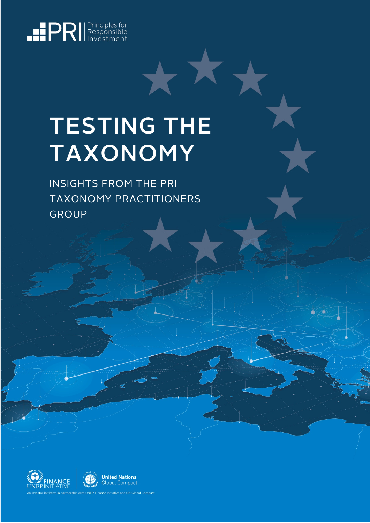<span id="page-0-0"></span>

# TESTING THE **TAXONOMY**

INSIGHTS FROM THE PRI TAXONOMY PRACTITIONERS GROUP





.<br>ce Initiative and UN Global Compact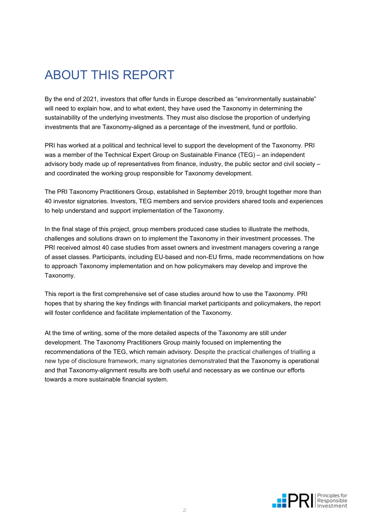### ABOUT THIS REPORT

By the end of 2021, investors that offer funds in Europe described as "environmentally sustainable" will need to explain how, and to what extent, they have used the Taxonomy in determining the sustainability of the underlying investments. They must also disclose the proportion of underlying investments that are Taxonomy-aligned as a percentage of the investment, fund or portfolio.

PRI has worked at a political and technical level to support the development of the Taxonomy. PRI was a member of the Technical Expert Group on Sustainable Finance (TEG) – an independent advisory body made up of representatives from finance, industry, the public sector and civil society – and coordinated the working group responsible for Taxonomy development.

The PRI Taxonomy Practitioners Group, established in September 2019, brought together more than 40 investor signatories. Investors, TEG members and service providers shared tools and experiences to help understand and support implementation of the Taxonomy.

In the final stage of this project, group members produced case studies to illustrate the methods, challenges and solutions drawn on to implement the Taxonomy in their investment processes. The PRI received almost 40 case studies from asset owners and investment managers covering a range of asset classes. Participants, including EU-based and non-EU firms, made recommendations on how to approach Taxonomy implementation and on how policymakers may develop and improve the Taxonomy.

This report is the first comprehensive set of case studies around how to use the Taxonomy. PRI hopes that by sharing the key findings with financial market participants and policymakers, the report will foster confidence and facilitate implementation of the Taxonomy.

At the time of writing, some of the more detailed aspects of the Taxonomy are still under development. The Taxonomy Practitioners Group mainly focused on implementing the recommendations of the TEG, which remain advisory. Despite the practical challenges of trialling a new type of disclosure framework, many signatories demonstrated that the Taxonomy is operational and that Taxonomy-alignment results are both useful and necessary as we continue our efforts towards a more sustainable financial system.

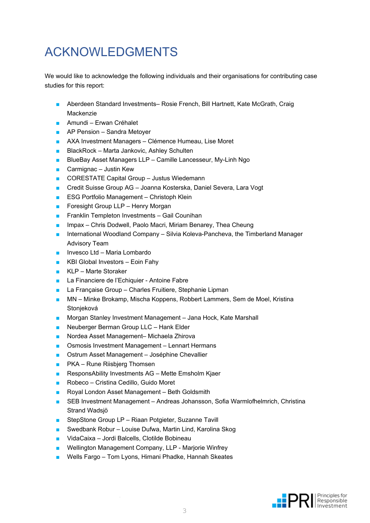# ACKNOWLEDGMENTS

We would like to acknowledge the following individuals and their organisations for contributing case studies for this report:

- Aberdeen Standard Investments– Rosie French, Bill Hartnett, Kate McGrath, Craig Mackenzie
- Amundi Erwan Créhalet
- AP Pension Sandra Metoyer
- AXA Investment Managers Clémence Humeau, Lise Moret
- BlackRock Marta Jankovic, Ashley Schulten
- BlueBay Asset Managers LLP Camille Lancesseur, My-Linh Ngo
- Carmignac Justin Kew
- CORESTATE Capital Group Justus Wiedemann
- Credit Suisse Group AG Joanna Kosterska, Daniel Severa, Lara Vogt
- ESG Portfolio Management Christoph Klein
- Foresight Group LLP Henry Morgan
- Franklin Templeton Investments Gail Counihan
- Impax Chris Dodwell, Paolo Macri, Miriam Benarey, Thea Cheung
- International Woodland Company Silvia Koleva-Pancheva, the Timberland Manager Advisory Team
- Invesco Ltd Maria Lombardo
- KBI Global Investors Eoin Fahy
- KLP Marte Storaker
- La Financiere de l'Echiquier Antoine Fabre
- La Française Group Charles Fruitiere, Stephanie Lipman
- MN Minke Brokamp, Mischa Koppens, Robbert Lammers, Sem de Moel, Kristina Stonjeková
- Morgan Stanley Investment Management Jana Hock, Kate Marshall
- Neuberger Berman Group LLC Hank Elder
- Nordea Asset Management– Michaela Zhirova
- Osmosis Investment Management Lennart Hermans
- Ostrum Asset Management Joséphine Chevallier
- PKA Rune Riisbierg Thomsen
- ResponsAbility Investments AG Mette Emsholm Kiaer
- Robeco Cristina Cedillo, Guido Moret
- Royal London Asset Management Beth Goldsmith
- SEB Investment Management Andreas Johansson, Sofia Warmlofhelmrich, Christina Strand Wadsjö
- StepStone Group LP Riaan Potgieter, Suzanne Tavill
- Swedbank Robur Louise Dufwa, Martin Lind, Karolina Skog
- VidaCaixa Jordi Balcells, Clotilde Bobineau
- Wellington Management Company, LLP Marjorie Winfrey
- Wells Fargo Tom Lyons, Himani Phadke, Hannah Skeates

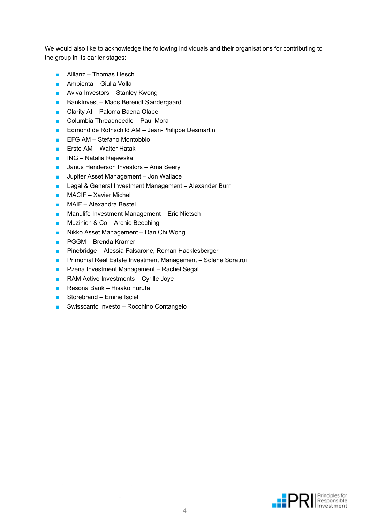We would also like to acknowledge the following individuals and their organisations for contributing to the group in its earlier stages:

- Allianz Thomas Liesch
- Ambienta Giulia Volla
- Aviva Investors Stanley Kwong
- BankInvest Mads Berendt Søndergaard
- Clarity AI Paloma Baena Olabe
- Columbia Threadneedle Paul Mora
- Edmond de Rothschild AM Jean-Philippe Desmartin
- EFG AM Stefano Montobbio
- Erste AM Walter Hatak
- ING Natalia Rajewska
- Janus Henderson Investors Ama Seery
- Jupiter Asset Management Jon Wallace
- Legal & General Investment Management Alexander Burr
- MACIF Xavier Michel
- MAIF Alexandra Bestel
- Manulife Investment Management Eric Nietsch
- Muzinich & Co Archie Beeching
- Nikko Asset Management Dan Chi Wong
- PGGM Brenda Kramer
- Pinebridge Alessia Falsarone, Roman Hacklesberger
- Primonial Real Estate Investment Management Solene Soratroi
- Pzena Investment Management Rachel Segal
- RAM Active Investments Cyrille Joye
- Resona Bank Hisako Furuta
- Storebrand Emine Isciel
- Swisscanto Investo Rocchino Contangelo

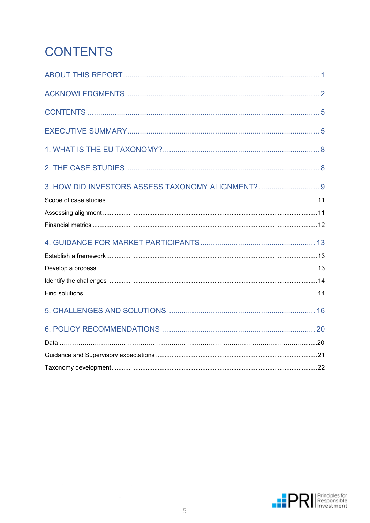# <span id="page-4-0"></span>**CONTENTS**

| 3. HOW DID INVESTORS ASSESS TAXONOMY ALIGNMENT?  9 |  |
|----------------------------------------------------|--|
|                                                    |  |
|                                                    |  |
|                                                    |  |
|                                                    |  |
|                                                    |  |
|                                                    |  |
|                                                    |  |
|                                                    |  |
|                                                    |  |
|                                                    |  |
|                                                    |  |
|                                                    |  |
|                                                    |  |

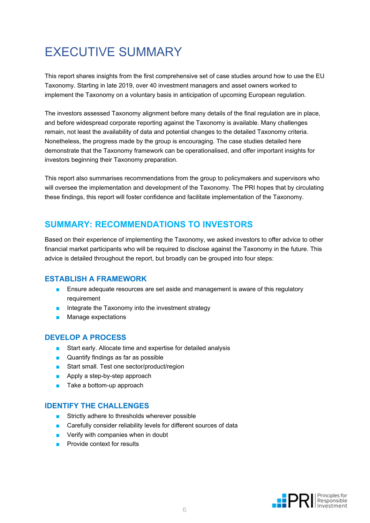# <span id="page-5-0"></span>EXECUTIVE SUMMARY

This report shares insights from the first comprehensive set of case studies around how to use the EU Taxonomy. Starting in late 2019, over 40 investment managers and asset owners worked to implement the Taxonomy on a voluntary basis in anticipation of upcoming European regulation.

The investors assessed Taxonomy alignment before many details of the final regulation are in place, and before widespread corporate reporting against the Taxonomy is available. Many challenges remain, not least the availability of data and potential changes to the detailed Taxonomy criteria. Nonetheless, the progress made by the group is encouraging. The case studies detailed here demonstrate that the Taxonomy framework can be operationalised, and offer important insights for investors beginning their Taxonomy preparation.

This report also summarises recommendations from the group to policymakers and supervisors who will oversee the implementation and development of the Taxonomy. The PRI hopes that by circulating these findings, this report will foster confidence and facilitate implementation of the Taxonomy.

#### **SUMMARY: RECOMMENDATIONS TO INVESTORS**

Based on their experience of implementing the Taxonomy, we asked investors to offer advice to other financial market participants who will be required to disclose against the Taxonomy in the future. This advice is detailed throughout the report, but broadly can be grouped into four steps:

#### **ESTABLISH A FRAMEWORK**

- Ensure adequate resources are set aside and management is aware of this regulatory requirement
- Integrate the Taxonomy into the investment strategy
- Manage expectations

#### **DEVELOP A PROCESS**

- Start early. Allocate time and expertise for detailed analysis
- Quantify findings as far as possible
- Start small. Test one sector/product/region
- Apply a step-by-step approach
- Take a bottom-up approach

#### **IDENTIFY THE CHALLENGES**

- Strictly adhere to thresholds wherever possible
- Carefully consider reliability levels for different sources of data
- Verify with companies when in doubt
- Provide context for results

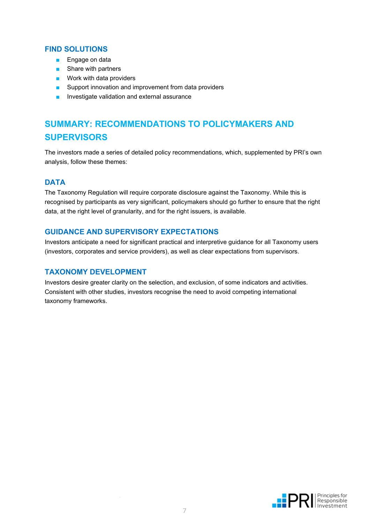#### **FIND SOLUTIONS**

- Engage on data
- Share with partners
- Work with data providers
- Support innovation and improvement from data providers
- Investigate validation and external assurance

### **SUMMARY: RECOMMENDATIONS TO POLICYMAKERS AND SUPERVISORS**

The investors made a series of detailed policy recommendations, which, supplemented by PRI's own analysis, follow these themes:

#### **DATA**

The Taxonomy Regulation will require corporate disclosure against the Taxonomy. While this is recognised by participants as very significant, policymakers should go further to ensure that the right data, at the right level of granularity, and for the right issuers, is available.

#### **GUIDANCE AND SUPERVISORY EXPECTATIONS**

Investors anticipate a need for significant practical and interpretive guidance for all Taxonomy users (investors, corporates and service providers), as well as clear expectations from supervisors.

#### **TAXONOMY DEVELOPMENT**

Investors desire greater clarity on the selection, and exclusion, of some indicators and activities. Consistent with other studies, investors recognise the need to avoid competing international taxonomy frameworks.

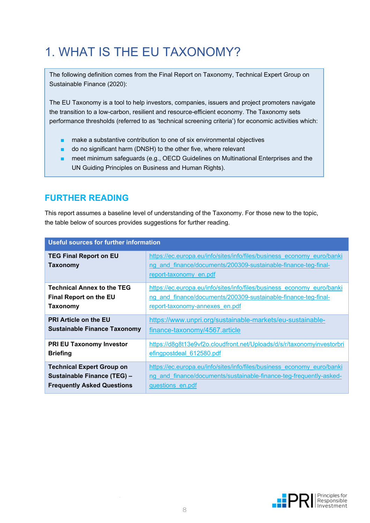# <span id="page-7-0"></span>1. WHAT IS THE EU TAXONOMY?

The following definition comes from the Final Report on Taxonomy, Technical Expert Group on Sustainable Finance (2020):

The EU Taxonomy is a tool to help investors, companies, issuers and project promoters navigate the transition to a low-carbon, resilient and resource-efficient economy. The Taxonomy sets performance thresholds (referred to as 'technical screening criteria') for economic activities which:

- make a substantive contribution to one of six environmental objectives
- do no significant harm (DNSH) to the other five, where relevant
- meet minimum safeguards (e.g., OECD Guidelines on Multinational Enterprises and the UN Guiding Principles on Business and Human Rights).

### **FURTHER READING**

This report assumes a baseline level of understanding of the Taxonomy. For those new to the topic, the table below of sources provides suggestions for further reading.

| <b>Useful sources for further information</b> |                                                                                                                                                                    |
|-----------------------------------------------|--------------------------------------------------------------------------------------------------------------------------------------------------------------------|
| <b>TEG Final Report on EU</b><br>Taxonomy     | https://ec.europa.eu/info/sites/info/files/business economy euro/banki<br>ng and finance/documents/200309-sustainable-finance-teg-final-<br>report-taxonomy en.pdf |
| <b>Technical Annex to the TEG</b>             | https://ec.europa.eu/info/sites/info/files/business economy euro/banki                                                                                             |
| <b>Final Report on the EU</b>                 | ng and finance/documents/200309-sustainable-finance-teg-final-                                                                                                     |
| Taxonomy                                      | report-taxonomy-annexes en.pdf                                                                                                                                     |
| <b>PRI Article on the EU</b>                  | https://www.unpri.org/sustainable-markets/eu-sustainable-                                                                                                          |
| <b>Sustainable Finance Taxonomy</b>           | finance-taxonomy/4567.article                                                                                                                                      |
| <b>PRI EU Taxonomy Investor</b>               | https://d8g8t13e9vf2o.cloudfront.net/Uploads/d/s/r/taxonomyinvestorbri                                                                                             |
| <b>Briefing</b>                               | efingpostdeal 612580.pdf                                                                                                                                           |
| <b>Technical Expert Group on</b>              | https://ec.europa.eu/info/sites/info/files/business economy euro/banki                                                                                             |
| Sustainable Finance (TEG) -                   | ng and finance/documents/sustainable-finance-teg-frequently-asked-                                                                                                 |
| <b>Frequently Asked Questions</b>             | questions en.pdf                                                                                                                                                   |

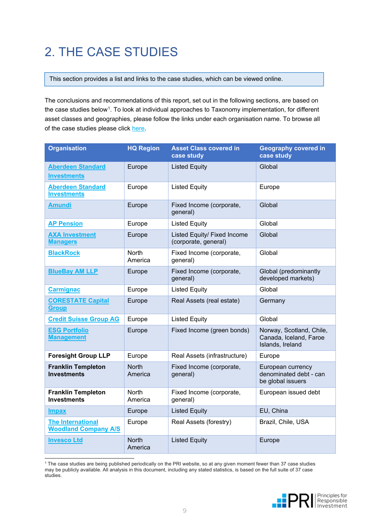# <span id="page-8-0"></span>2. THE CASE STUDIES

This section provides a list and links to the case studies, which can be viewed online.

The conclusions and recommendations of this report, set out in the following sections, are based on the case studies below<sup>[1](#page-8-1)</sup>. To look at individual approaches to Taxonomy implementation, for different asset classes and geographies, please follow the links under each organisation name. To browse all of the case studies please click [here.](https://www.unpri.org/eu-taxonomy-case-studies)

| <b>Organisation</b>                                     | <b>HQ Region</b>        | <b>Asset Class covered in</b><br>case study         | <b>Geography covered in</b><br>case study                              |
|---------------------------------------------------------|-------------------------|-----------------------------------------------------|------------------------------------------------------------------------|
| <b>Aberdeen Standard</b><br><b>Investments</b>          | Europe                  | <b>Listed Equity</b>                                | Global                                                                 |
| <b>Aberdeen Standard</b><br><b>Investments</b>          | Europe                  | <b>Listed Equity</b>                                | Europe                                                                 |
| Amundi                                                  | Europe                  | Fixed Income (corporate,<br>general)                | Global                                                                 |
| <b>AP Pension</b>                                       | Europe                  | <b>Listed Equity</b>                                | Global                                                                 |
| <b>AXA Investment</b><br><b>Managers</b>                | Europe                  | Listed Equity/ Fixed Income<br>(corporate, general) | Global                                                                 |
| <b>BlackRock</b>                                        | North<br>America        | Fixed Income (corporate,<br>general)                | Global                                                                 |
| <b>BlueBay AM LLP</b>                                   | Europe                  | Fixed Income (corporate,<br>general)                | Global (predominantly<br>developed markets)                            |
| <b>Carmignac</b>                                        | Europe                  | <b>Listed Equity</b>                                | Global                                                                 |
| <b>CORESTATE Capital</b><br><b>Group</b>                | Europe                  | Real Assets (real estate)                           | Germany                                                                |
| <b>Credit Suisse Group AG</b>                           | Europe                  | <b>Listed Equity</b>                                | Global                                                                 |
| <b>ESG Portfolio</b><br><b>Management</b>               | Europe                  | Fixed Income (green bonds)                          | Norway, Scotland, Chile,<br>Canada, Iceland, Faroe<br>Islands, Ireland |
| <b>Foresight Group LLP</b>                              | Europe                  | Real Assets (infrastructure)                        | Europe                                                                 |
| <b>Franklin Templeton</b><br><b>Investments</b>         | <b>North</b><br>America | Fixed Income (corporate,<br>general)                | European currency<br>denominated debt - can<br>be global issuers       |
| <b>Franklin Templeton</b><br><b>Investments</b>         | <b>North</b><br>America | Fixed Income (corporate,<br>general)                | European issued debt                                                   |
| <b>Impax</b>                                            | Europe                  | <b>Listed Equity</b>                                | EU, China                                                              |
| <b>The International</b><br><b>Woodland Company A/S</b> | Europe                  | Real Assets (forestry)                              | Brazil, Chile, USA                                                     |
| <b>Invesco Ltd</b>                                      | <b>North</b><br>America | <b>Listed Equity</b>                                | Europe                                                                 |

<span id="page-8-1"></span><sup>1</sup> The case studies are being published periodically on the PRI website, so at any given moment fewer than 37 case studies may be publicly available. All analysis in this document, including any stated statistics, is based on the full suite of 37 case studies.

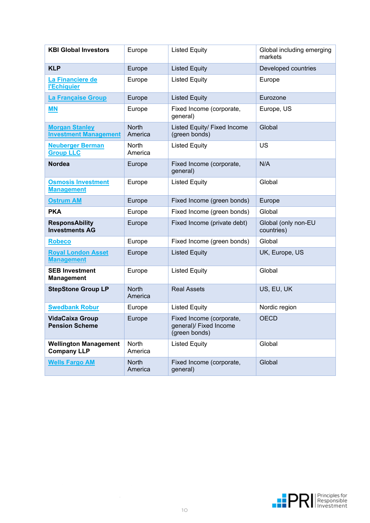| <b>KBI Global Investors</b>                           | Europe                  | <b>Listed Equity</b>                                                | Global including emerging<br>markets |
|-------------------------------------------------------|-------------------------|---------------------------------------------------------------------|--------------------------------------|
| <b>KLP</b>                                            | Europe                  | <b>Listed Equity</b>                                                | Developed countries                  |
| La Financiere de<br><b>l'Echiquier</b>                | Europe                  | <b>Listed Equity</b>                                                | Europe                               |
| La Française Group                                    | Europe                  | <b>Listed Equity</b>                                                | Eurozone                             |
| <b>MN</b>                                             | Europe                  | Fixed Income (corporate,<br>general)                                | Europe, US                           |
| <b>Morgan Stanley</b><br><b>Investment Management</b> | <b>North</b><br>America | Listed Equity/ Fixed Income<br>(green bonds)                        | Global                               |
| <b>Neuberger Berman</b><br><b>Group LLC</b>           | North<br>America        | <b>Listed Equity</b>                                                | <b>US</b>                            |
| <b>Nordea</b>                                         | Europe                  | Fixed Income (corporate,<br>general)                                | N/A                                  |
| <b>Osmosis Investment</b><br><b>Management</b>        | Europe                  | <b>Listed Equity</b>                                                | Global                               |
| <b>Ostrum AM</b>                                      | Europe                  | Fixed Income (green bonds)                                          | Europe                               |
| <b>PKA</b>                                            | Europe                  | Fixed Income (green bonds)                                          | Global                               |
| <b>ResponsAbility</b><br><b>Investments AG</b>        | Europe                  | Fixed Income (private debt)                                         | Global (only non-EU<br>countries)    |
| <b>Robeco</b>                                         | Europe                  | Fixed Income (green bonds)                                          | Global                               |
| <b>Royal London Asset</b><br><b>Management</b>        | Europe                  | <b>Listed Equity</b>                                                | UK, Europe, US                       |
| <b>SEB Investment</b><br><b>Management</b>            | Europe                  | <b>Listed Equity</b>                                                | Global                               |
| <b>StepStone Group LP</b>                             | <b>North</b><br>America | <b>Real Assets</b>                                                  | US, EU, UK                           |
| <b>Swedbank Robur</b>                                 | Europe                  | <b>Listed Equity</b>                                                | Nordic region                        |
| <b>VidaCaixa Group</b><br><b>Pension Scheme</b>       | Europe                  | Fixed Income (corporate,<br>general)/ Fixed Income<br>(green bonds) | <b>OECD</b>                          |
| <b>Wellington Management</b><br><b>Company LLP</b>    | North<br>America        | <b>Listed Equity</b>                                                | Global                               |
| <b>Wells Fargo AM</b>                                 | <b>North</b><br>America | Fixed Income (corporate,<br>general)                                | Global                               |

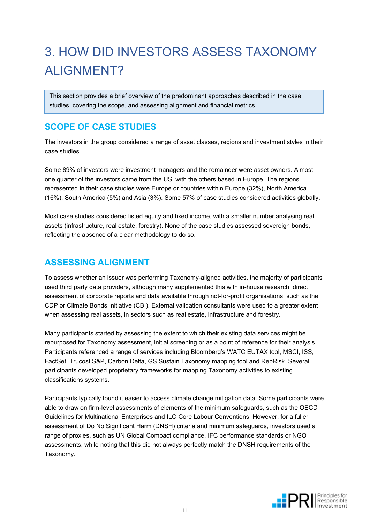# 3. HOW DID INVESTORS ASSESS TAXONOMY ALIGNMENT?

This section provides a brief overview of the predominant approaches described in the case studies, covering the scope, and assessing alignment and financial metrics.

### <span id="page-10-0"></span>**SCOPE OF CASE STUDIES**

The investors in the group considered a range of asset classes, regions and investment styles in their case studies.

Some 89% of investors were investment managers and the remainder were asset owners. Almost one quarter of the investors came from the US, with the others based in Europe. The regions represented in their case studies were Europe or countries within Europe (32%), North America (16%), South America (5%) and Asia (3%). Some 57% of case studies considered activities globally.

Most case studies considered listed equity and fixed income, with a smaller number analysing real assets (infrastructure, real estate, forestry). None of the case studies assessed sovereign bonds, reflecting the absence of a clear methodology to do so.

### <span id="page-10-1"></span>**ASSESSING ALIGNMENT**

To assess whether an issuer was performing Taxonomy-aligned activities, the majority of participants used third party data providers, although many supplemented this with in-house research, direct assessment of corporate reports and data available through not-for-profit organisations, such as the CDP or Climate Bonds Initiative (CBI). External validation consultants were used to a greater extent when assessing real assets, in sectors such as real estate, infrastructure and forestry.

Many participants started by assessing the extent to which their existing data services might be repurposed for Taxonomy assessment, initial screening or as a point of reference for their analysis. Participants referenced a range of services including Bloomberg's WATC EUTAX tool, MSCI, ISS, FactSet, Trucost S&P, Carbon Delta, GS Sustain Taxonomy mapping tool and RepRisk. Several participants developed proprietary frameworks for mapping Taxonomy activities to existing classifications systems.

Participants typically found it easier to access climate change mitigation data. Some participants were able to draw on firm-level assessments of elements of the minimum safeguards, such as the OECD Guidelines for Multinational Enterprises and ILO Core Labour Conventions. However, for a fuller assessment of Do No Significant Harm (DNSH) criteria and minimum safeguards, investors used a range of proxies, such as UN Global Compact compliance, IFC performance standards or NGO assessments, while noting that this did not always perfectly match the DNSH requirements of the Taxonomy.

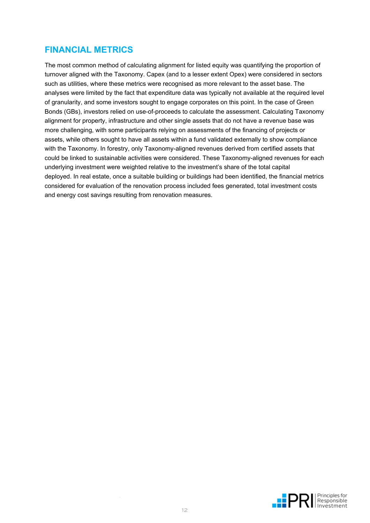### <span id="page-11-0"></span>**FINANCIAL METRICS**

<span id="page-11-1"></span>The most common method of calculating alignment for listed equity was quantifying the proportion of turnover aligned with the Taxonomy. Capex (and to a lesser extent Opex) were considered in sectors such as utilities, where these metrics were recognised as more relevant to the asset base. The analyses were limited by the fact that expenditure data was typically not available at the required level of granularity, and some investors sought to engage corporates on this point. In the case of Green Bonds (GBs), investors relied on use-of-proceeds to calculate the assessment. Calculating Taxonomy alignment for property, infrastructure and other single assets that do not have a revenue base was more challenging, with some participants relying on assessments of the financing of projects or assets, while others sought to have all assets within a fund validated externally to show compliance with the Taxonomy. In forestry, only Taxonomy-aligned revenues derived from certified assets that could be linked to sustainable activities were considered. These Taxonomy-aligned revenues for each underlying investment were weighted relative to the investment's share of the total capital deployed. In real estate, once a suitable building or buildings had been identified, the financial metrics considered for evaluation of the renovation process included fees generated, total investment costs and energy cost savings resulting from renovation measures.

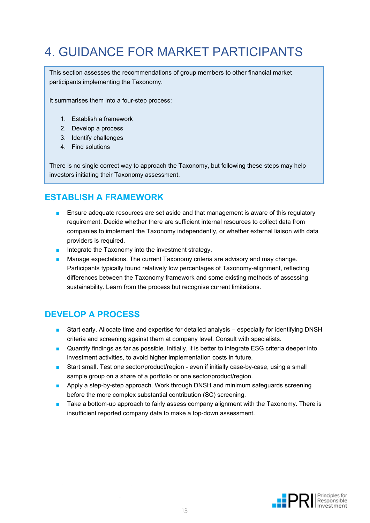# 4. GUIDANCE FOR MARKET PARTICIPANTS

This section assesses the recommendations of group members to other financial market participants implementing the Taxonomy.

It summarises them into a four-step process:

- 1. Establish a framework
- 2. Develop a process
- 3. Identify challenges
- 4. Find solutions

There is no single correct way to approach the Taxonomy, but following these steps may help investors initiating their Taxonomy assessment.

#### <span id="page-12-0"></span>**ESTABLISH A FRAMEWORK**

- Ensure adequate resources are set aside and that management is aware of this regulatory requirement. Decide whether there are sufficient internal resources to collect data from companies to implement the Taxonomy independently, or whether external liaison with data providers is required.
- Integrate the Taxonomy into the investment strategy.
- Manage expectations. The current Taxonomy criteria are advisory and may change. Participants typically found relatively low percentages of Taxonomy-alignment, reflecting differences between the Taxonomy framework and some existing methods of assessing sustainability. Learn from the process but recognise current limitations.

### <span id="page-12-1"></span>**DEVELOP A PROCESS**

- Start early. Allocate time and expertise for detailed analysis especially for identifying DNSH criteria and screening against them at company level. Consult with specialists.
- Quantify findings as far as possible. Initially, it is better to integrate ESG criteria deeper into investment activities, to avoid higher implementation costs in future.
- Start small. Test one sector/product/region even if initially case-by-case, using a small sample group on a share of a portfolio or one sector/product/region.
- Apply a step-by-step approach. Work through DNSH and minimum safeguards screening before the more complex substantial contribution (SC) screening.
- Take a bottom-up approach to fairly assess company alignment with the Taxonomy. There is insufficient reported company data to make a top-down assessment.

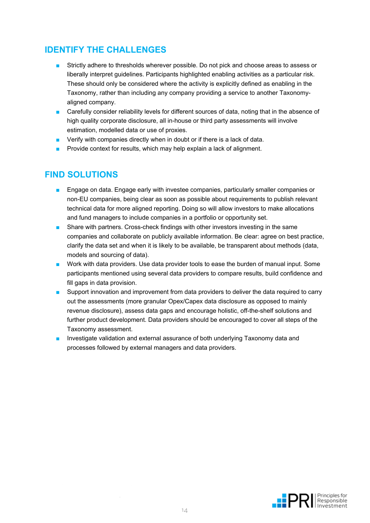### <span id="page-13-0"></span>**IDENTIFY THE CHALLENGES**

- Strictly adhere to thresholds wherever possible. Do not pick and choose areas to assess or liberally interpret guidelines. Participants highlighted enabling activities as a particular risk. These should only be considered where the activity is explicitly defined as enabling in the Taxonomy, rather than including any company providing a service to another Taxonomyaligned company.
- Carefully consider reliability levels for different sources of data, noting that in the absence of high quality corporate disclosure, all in-house or third party assessments will involve estimation, modelled data or use of proxies.
- Verify with companies directly when in doubt or if there is a lack of data.
- Provide context for results, which may help explain a lack of alignment.

#### <span id="page-13-1"></span>**FIND SOLUTIONS**

- Engage on data. Engage early with investee companies, particularly smaller companies or non-EU companies, being clear as soon as possible about requirements to publish relevant technical data for more aligned reporting. Doing so will allow investors to make allocations and fund managers to include companies in a portfolio or opportunity set.
- Share with partners. Cross-check findings with other investors investing in the same companies and collaborate on publicly available information. Be clear: agree on best practice, clarify the data set and when it is likely to be available, be transparent about methods (data, models and sourcing of data).
- Work with data providers. Use data provider tools to ease the burden of manual input. Some participants mentioned using several data providers to compare results, build confidence and fill gaps in data provision.
- Support innovation and improvement from data providers to deliver the data required to carry out the assessments (more granular Opex/Capex data disclosure as opposed to mainly revenue disclosure), assess data gaps and encourage holistic, off-the-shelf solutions and further product development. Data providers should be encouraged to cover all steps of the Taxonomy assessment.
- Investigate validation and external assurance of both underlying Taxonomy data and processes followed by external managers and data providers.

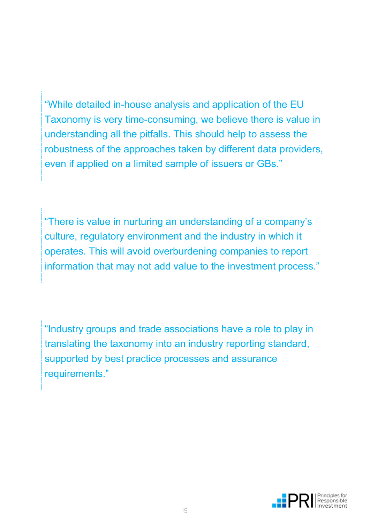"While detailed in-house analysis and application of the EU Taxonomy is very time-consuming, we believe there is value in understanding all the pitfalls. This should help to assess the robustness of the approaches taken by different data providers, even if applied on a limited sample of issuers or GBs."

"There is value in nurturing an understanding of a company's culture, regulatory environment and the industry in which it operates. This will avoid overburdening companies to report information that may not add value to the investment process."

"Industry groups and trade associations have a role to play in translating the taxonomy into an industry reporting standard, supported by best practice processes and assurance requirements."

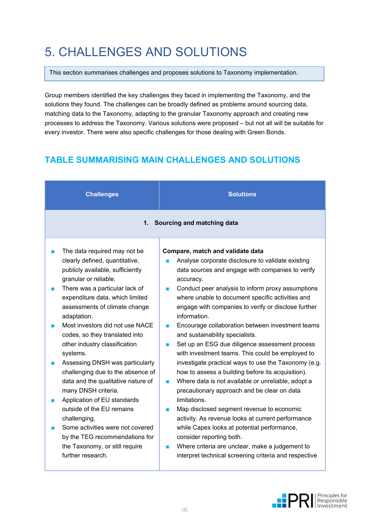# <span id="page-15-0"></span>5. CHALLENGES AND SOLUTIONS

This section summarises challenges and proposes solutions to Taxonomy implementation.

Group members identified the key challenges they faced in implementing the Taxonomy, and the solutions they found. The challenges can be broadly defined as problems around sourcing data, matching data to the Taxonomy, adapting to the granular Taxonomy approach and creating new processes to address the Taxonomy. Various solutions were proposed – but not all will be suitable for every investor. There were also specific challenges for those dealing with Green Bonds.

### **TABLE SUMMARISING MAIN CHALLENGES AND SOLUTIONS**

| <b>Challenges</b>                                                                                                                                                                                                                                                                                                                                                                                                                                                                                                                                                                                                                                                                                                     | <b>Solutions</b>                                                                                                                                                                                                                                                                                                                                                                                                                                                                                                                                                                                                                                                                                                                                                                                                                                                                                                                                                                                                                                                                                                         |  |  |
|-----------------------------------------------------------------------------------------------------------------------------------------------------------------------------------------------------------------------------------------------------------------------------------------------------------------------------------------------------------------------------------------------------------------------------------------------------------------------------------------------------------------------------------------------------------------------------------------------------------------------------------------------------------------------------------------------------------------------|--------------------------------------------------------------------------------------------------------------------------------------------------------------------------------------------------------------------------------------------------------------------------------------------------------------------------------------------------------------------------------------------------------------------------------------------------------------------------------------------------------------------------------------------------------------------------------------------------------------------------------------------------------------------------------------------------------------------------------------------------------------------------------------------------------------------------------------------------------------------------------------------------------------------------------------------------------------------------------------------------------------------------------------------------------------------------------------------------------------------------|--|--|
|                                                                                                                                                                                                                                                                                                                                                                                                                                                                                                                                                                                                                                                                                                                       | 1. Sourcing and matching data                                                                                                                                                                                                                                                                                                                                                                                                                                                                                                                                                                                                                                                                                                                                                                                                                                                                                                                                                                                                                                                                                            |  |  |
| The data required may not be<br>clearly defined, quantitative,<br>publicly available, sufficiently<br>granular or reliable.<br>There was a particular lack of<br>expenditure data, which limited<br>assessments of climate change<br>adaptation.<br>Most investors did not use NACE<br>codes, so they translated into<br>other industry classification<br>systems.<br>Assessing DNSH was particularly<br>П<br>challenging due to the absence of<br>data and the qualitative nature of<br>many DNSH criteria.<br>Application of EU standards<br>outside of the EU remains<br>challenging.<br>Some activities were not covered<br>by the TEG recommendations for<br>the Taxonomy, or still require<br>further research. | Compare, match and validate data<br>Analyse corporate disclosure to validate existing<br>П<br>data sources and engage with companies to verify<br>accuracy.<br>Conduct peer analysis to inform proxy assumptions<br>×<br>where unable to document specific activities and<br>engage with companies to verify or disclose further<br>information.<br>Encourage collaboration between investment teams<br>$\blacksquare$<br>and sustainability specialists.<br>Set up an ESG due diligence assessment process<br><b>STAR</b><br>with investment teams. This could be employed to<br>investigate practical ways to use the Taxonomy (e.g.<br>how to assess a building before its acquisition).<br>Where data is not available or unreliable, adopt a<br>П<br>precautionary approach and be clear on data<br>limitations.<br>Map disclosed segment revenue to economic<br>×<br>activity. As revenue looks at current performance<br>while Capex looks at potential performance,<br>consider reporting both.<br>Where criteria are unclear, make a judgement to<br>П<br>interpret technical screening criteria and respective |  |  |

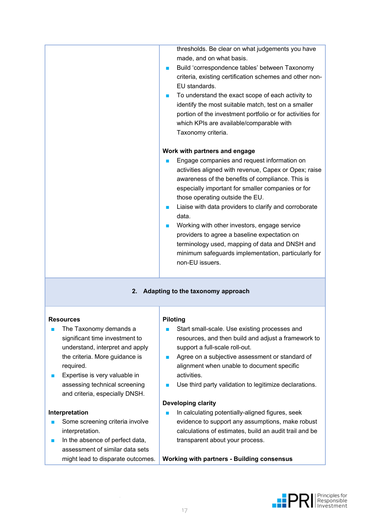|                                                                                                                                                                                                 | thresholds. Be clear on what judgements you have<br>made, and on what basis.<br>Build 'correspondence tables' between Taxonomy<br><b>College</b><br>criteria, existing certification schemes and other non-<br>EU standards.<br>To understand the exact scope of each activity to<br>×<br>identify the most suitable match, test on a smaller<br>portion of the investment portfolio or for activities for<br>which KPIs are available/comparable with<br>Taxonomy criteria.<br>Work with partners and engage<br>Engage companies and request information on<br>activities aligned with revenue, Capex or Opex; raise<br>awareness of the benefits of compliance. This is<br>especially important for smaller companies or for<br>those operating outside the EU.<br>Liaise with data providers to clarify and corroborate<br>×<br>data.<br>Working with other investors, engage service<br>providers to agree a baseline expectation on<br>terminology used, mapping of data and DNSH and<br>minimum safeguards implementation, particularly for<br>non-EU issuers. |
|-------------------------------------------------------------------------------------------------------------------------------------------------------------------------------------------------|----------------------------------------------------------------------------------------------------------------------------------------------------------------------------------------------------------------------------------------------------------------------------------------------------------------------------------------------------------------------------------------------------------------------------------------------------------------------------------------------------------------------------------------------------------------------------------------------------------------------------------------------------------------------------------------------------------------------------------------------------------------------------------------------------------------------------------------------------------------------------------------------------------------------------------------------------------------------------------------------------------------------------------------------------------------------|
| 2. Adapting to the taxonomy approach                                                                                                                                                            |                                                                                                                                                                                                                                                                                                                                                                                                                                                                                                                                                                                                                                                                                                                                                                                                                                                                                                                                                                                                                                                                      |
| <b>Resources</b><br>The Taxonomy demands a<br>significant time investment to<br>understand, interpret and apply<br>the criteria. More guidance is<br>required.<br>Evnortico je voru valuablo in | <b>Piloting</b><br>Start small-scale. Use existing processes and<br>resources, and then build and adjust a framework to<br>support a full-scale roll-out.<br>Agree on a subjective assessment or standard of<br><b>The Second</b><br>alignment when unable to document specific<br>aotivition                                                                                                                                                                                                                                                                                                                                                                                                                                                                                                                                                                                                                                                                                                                                                                        |

Expertise is very valuable in assessing technical screening and criteria, especially DNSH.

#### **Interpretation**

- Some screening criteria involve interpretation.
- In the absence of perfect data, assessment of similar data sets might lead to disparate outcomes.
- activities.
- Use third party validation to legitimize declarations.

#### **Developing clarity**

■ In calculating potentially-aligned figures, seek evidence to support any assumptions, make robust calculations of estimates, build an audit trail and be transparent about your process.

**Working with partners - Building consensus**

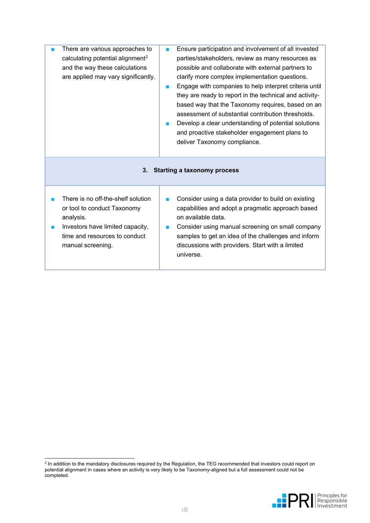| There are various approaches to<br>calculating potential alignment <sup>2</sup><br>and the way these calculations<br>are applied may vary significantly.                 | Ensure participation and involvement of all invested<br>parties/stakeholders, review as many resources as<br>possible and collaborate with external partners to<br>clarify more complex implementation questions.<br>Engage with companies to help interpret criteria until<br><b>STAR</b><br>they are ready to report in the technical and activity-<br>based way that the Taxonomy requires, based on an<br>assessment of substantial contribution thresholds.<br>Develop a clear understanding of potential solutions<br>and proactive stakeholder engagement plans to<br>deliver Taxonomy compliance. |
|--------------------------------------------------------------------------------------------------------------------------------------------------------------------------|-----------------------------------------------------------------------------------------------------------------------------------------------------------------------------------------------------------------------------------------------------------------------------------------------------------------------------------------------------------------------------------------------------------------------------------------------------------------------------------------------------------------------------------------------------------------------------------------------------------|
| 3.                                                                                                                                                                       | <b>Starting a taxonomy process</b>                                                                                                                                                                                                                                                                                                                                                                                                                                                                                                                                                                        |
| There is no off-the-shelf solution<br>or tool to conduct Taxonomy<br>analysis.<br>Investors have limited capacity,<br>time and resources to conduct<br>manual screening. | Consider using a data provider to build on existing<br>capabilities and adopt a pragmatic approach based<br>on available data.<br>Consider using manual screening on small company<br>samples to get an idea of the challenges and inform<br>discussions with providers. Start with a limited<br>universe.                                                                                                                                                                                                                                                                                                |

<span id="page-17-0"></span><sup>&</sup>lt;sup>2</sup> In addition to the mandatory disclosures required by the Regulation, the TEG recommended that investors could report on potential alignment in cases where an activity is very likely to be Taxonomy-aligned but a full assessment could not be completed.

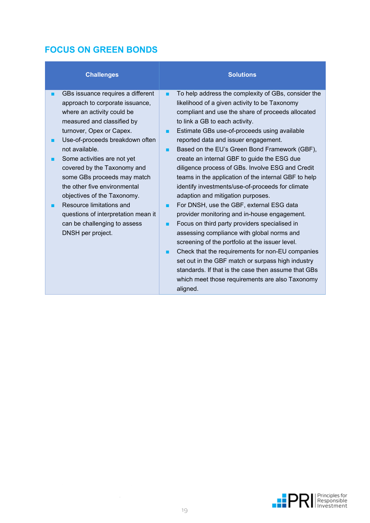### **FOCUS ON GREEN BONDS**

<span id="page-18-0"></span>

| GBs issuance requires a different<br>To help address the complexity of GBs, consider the<br>٠<br>likelihood of a given activity to be Taxonomy<br>approach to corporate issuance,<br>where an activity could be<br>compliant and use the share of proceeds allocated<br>measured and classified by<br>to link a GB to each activity.<br>turnover, Opex or Capex.<br>Estimate GBs use-of-proceeds using available<br>▬<br>Use-of-proceeds breakdown often<br>reported data and issuer engagement.<br>not available.<br>Based on the EU's Green Bond Framework (GBF),<br>▬<br>Some activities are not yet<br>create an internal GBF to guide the ESG due<br>diligence process of GBs. Involve ESG and Credit<br>covered by the Taxonomy and<br>some GBs proceeds may match<br>teams in the application of the internal GBF to help<br>the other five environmental<br>identify investments/use-of-proceeds for climate<br>objectives of the Taxonomy.<br>adaption and mitigation purposes.<br>Resource limitations and<br>For DNSH, use the GBF, external ESG data<br>▬<br>questions of interpretation mean it<br>provider monitoring and in-house engagement.<br>can be challenging to assess<br>Focus on third party providers specialised in<br>assessing compliance with global norms and<br>DNSH per project.<br>screening of the portfolio at the issuer level.<br>Check that the requirements for non-EU companies<br>■<br>set out in the GBF match or surpass high industry<br>standards. If that is the case then assume that GBs<br>which meet those requirements are also Taxonomy<br>aligned. |
|---------------------------------------------------------------------------------------------------------------------------------------------------------------------------------------------------------------------------------------------------------------------------------------------------------------------------------------------------------------------------------------------------------------------------------------------------------------------------------------------------------------------------------------------------------------------------------------------------------------------------------------------------------------------------------------------------------------------------------------------------------------------------------------------------------------------------------------------------------------------------------------------------------------------------------------------------------------------------------------------------------------------------------------------------------------------------------------------------------------------------------------------------------------------------------------------------------------------------------------------------------------------------------------------------------------------------------------------------------------------------------------------------------------------------------------------------------------------------------------------------------------------------------------------------------------------------------------------------------|
|                                                                                                                                                                                                                                                                                                                                                                                                                                                                                                                                                                                                                                                                                                                                                                                                                                                                                                                                                                                                                                                                                                                                                                                                                                                                                                                                                                                                                                                                                                                                                                                                         |

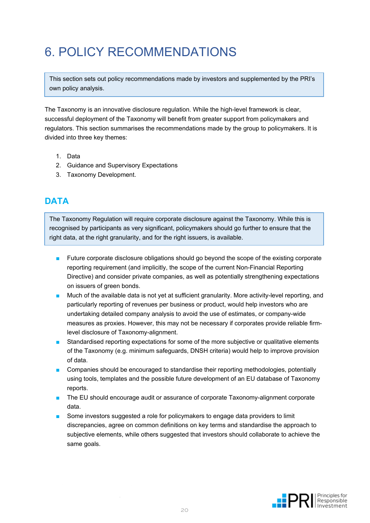## 6. POLICY RECOMMENDATIONS

This section sets out policy recommendations made by investors and supplemented by the PRI's own policy analysis.

The Taxonomy is an innovative disclosure regulation. While the high-level framework is clear, successful deployment of the Taxonomy will benefit from greater support from policymakers and regulators. This section summarises the recommendations made by the group to policymakers. It is divided into three key themes:

- 1. Data
- 2. Guidance and Supervisory Expectations
- 3. Taxonomy Development.

#### <span id="page-19-0"></span>**DATA**

The Taxonomy Regulation will require corporate disclosure against the Taxonomy. While this is recognised by participants as very significant, policymakers should go further to ensure that the right data, at the right granularity, and for the right issuers, is available.

- Future corporate disclosure obligations should go beyond the scope of the existing corporate reporting requirement (and implicitly, the scope of the current Non-Financial Reporting Directive) and consider private companies, as well as potentially strengthening expectations on issuers of green bonds.
- Much of the available data is not yet at sufficient granularity. More activity-level reporting, and particularly reporting of revenues per business or product, would help investors who are undertaking detailed company analysis to avoid the use of estimates, or company-wide measures as proxies. However, this may not be necessary if corporates provide reliable firmlevel disclosure of Taxonomy-alignment.
- Standardised reporting expectations for some of the more subjective or qualitative elements of the Taxonomy (e.g. minimum safeguards, DNSH criteria) would help to improve provision of data.
- Companies should be encouraged to standardise their reporting methodologies, potentially using tools, templates and the possible future development of an EU database of Taxonomy reports.
- The EU should encourage audit or assurance of corporate Taxonomy-alignment corporate data.
- Some investors suggested a role for policymakers to engage data providers to limit discrepancies, agree on common definitions on key terms and standardise the approach to subjective elements, while others suggested that investors should collaborate to achieve the same goals.

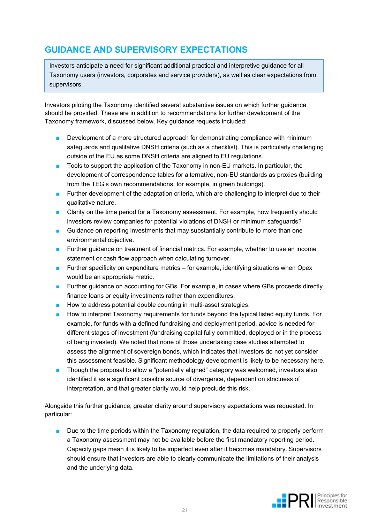### <span id="page-20-0"></span>**GUIDANCE AND SUPERVISORY EXPECTATIONS**

Investors anticipate a need for significant additional practical and interpretive guidance for all Taxonomy users (investors, corporates and service providers), as well as clear expectations from supervisors.

Investors piloting the Taxonomy identified several substantive issues on which further guidance should be provided. These are in addition to recommendations for further development of the Taxonomy framework, discussed below. Key guidance requests included:

- Development of a more structured approach for demonstrating compliance with minimum safeguards and qualitative DNSH criteria (such as a checklist). This is particularly challenging outside of the EU as some DNSH criteria are aligned to EU regulations.
- Tools to support the application of the Taxonomy in non-EU markets. In particular, the development of correspondence tables for alternative, non-EU standards as proxies (building from the TEG's own recommendations, for example, in green buildings).
- Further development of the adaptation criteria, which are challenging to interpret due to their qualitative nature.
- Clarity on the time period for a Taxonomy assessment. For example, how frequently should investors review companies for potential violations of DNSH or minimum safeguards?
- Guidance on reporting investments that may substantially contribute to more than one environmental objective.
- Further guidance on treatment of financial metrics. For example, whether to use an income statement or cash flow approach when calculating turnover.
- Further specificity on expenditure metrics for example, identifying situations when Opex would be an appropriate metric.
- Further guidance on accounting for GBs. For example, in cases where GBs proceeds directly finance loans or equity investments rather than expenditures.
- How to address potential double counting in multi-asset strategies.
- How to interpret Taxonomy requirements for funds beyond the typical listed equity funds. For example, for funds with a defined fundraising and deployment period, advice is needed for different stages of investment (fundraising capital fully committed, deployed or in the process of being invested). We noted that none of those undertaking case studies attempted to assess the alignment of sovereign bonds, which indicates that investors do not yet consider this assessment feasible. Significant methodology development is likely to be necessary here.
- Though the proposal to allow a "potentially aligned" category was welcomed, investors also identified it as a significant possible source of divergence, dependent on strictness of interpretation, and that greater clarity would help preclude this risk.

Alongside this further guidance, greater clarity around supervisory expectations was requested. In particular:

■ Due to the time periods within the Taxonomy requiation, the data required to properly perform a Taxonomy assessment may not be available before the first mandatory reporting period. Capacity gaps mean it is likely to be imperfect even after it becomes mandatory. Supervisors should ensure that investors are able to clearly communicate the limitations of their analysis and the underlying data.

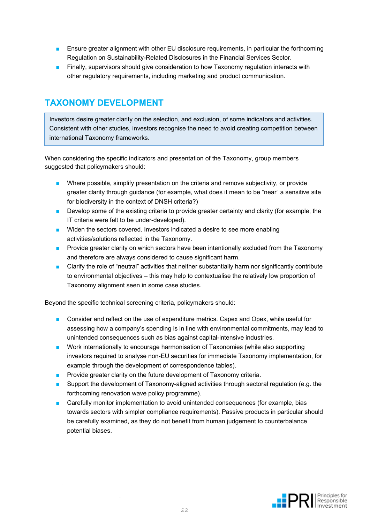- Ensure greater alignment with other EU disclosure requirements, in particular the forthcoming Regulation on Sustainability-Related Disclosures in the Financial Services Sector.
- Finally, supervisors should give consideration to how Taxonomy regulation interacts with other regulatory requirements, including marketing and product communication.

#### <span id="page-21-0"></span>**TAXONOMY DEVELOPMENT**

Investors desire greater clarity on the selection, and exclusion, of some indicators and activities. Consistent with other studies, investors recognise the need to avoid creating competition between international Taxonomy frameworks.

When considering the specific indicators and presentation of the Taxonomy, group members suggested that policymakers should:

- Where possible, simplify presentation on the criteria and remove subjectivity, or provide greater clarity through guidance (for example, what does it mean to be "near" a sensitive site for biodiversity in the context of DNSH criteria?)
- Develop some of the existing criteria to provide greater certainty and clarity (for example, the IT criteria were felt to be under-developed).
- Widen the sectors covered. Investors indicated a desire to see more enabling activities/solutions reflected in the Taxonomy.
- Provide greater clarity on which sectors have been intentionally excluded from the Taxonomy and therefore are always considered to cause significant harm.
- Clarify the role of "neutral" activities that neither substantially harm nor significantly contribute to environmental objectives – this may help to contextualise the relatively low proportion of Taxonomy alignment seen in some case studies.

Beyond the specific technical screening criteria, policymakers should:

- Consider and reflect on the use of expenditure metrics. Capex and Opex, while useful for assessing how a company's spending is in line with environmental commitments, may lead to unintended consequences such as bias against capital-intensive industries.
- Work internationally to encourage harmonisation of Taxonomies (while also supporting investors required to analyse non-EU securities for immediate Taxonomy implementation, for example through the development of correspondence tables).
- Provide greater clarity on the future development of Taxonomy criteria.
- Support the development of Taxonomy-aligned activities through sectoral regulation (e.g. the forthcoming renovation wave policy programme).
- Carefully monitor implementation to avoid unintended consequences (for example, bias towards sectors with simpler compliance requirements). Passive products in particular should be carefully examined, as they do not benefit from human judgement to counterbalance potential biases.

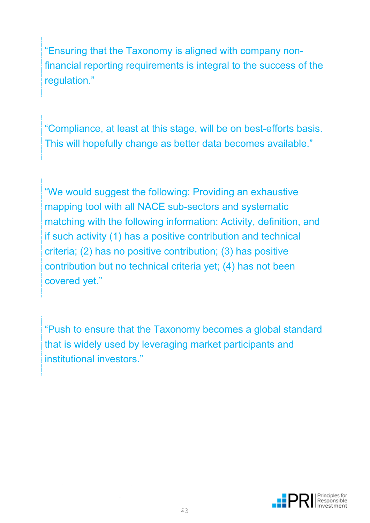"Ensuring that the Taxonomy is aligned with company nonfinancial reporting requirements is integral to the success of the regulation."

"Compliance, at least at this stage, will be on best-efforts basis. This will hopefully change as better data becomes available."

"We would suggest the following: Providing an exhaustive mapping tool with all NACE sub-sectors and systematic matching with the following information: Activity, definition, and if such activity (1) has a positive contribution and technical criteria; (2) has no positive contribution; (3) has positive contribution but no technical criteria yet; (4) has not been covered yet."

"Push to ensure that the Taxonomy becomes a global standard that is widely used by leveraging market participants and institutional investors."

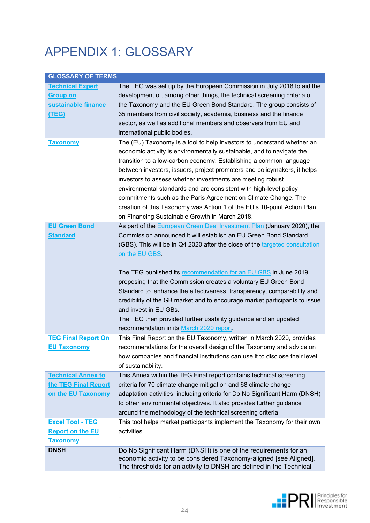# APPENDIX 1: GLOSSARY

| <b>GLOSSARY OF TERMS</b>   |                                                                             |
|----------------------------|-----------------------------------------------------------------------------|
| <b>Technical Expert</b>    | The TEG was set up by the European Commission in July 2018 to aid the       |
| <u>Group on</u>            | development of, among other things, the technical screening criteria of     |
| sustainable finance        | the Taxonomy and the EU Green Bond Standard. The group consists of          |
| (TEG)                      | 35 members from civil society, academia, business and the finance           |
|                            | sector, as well as additional members and observers from EU and             |
|                            | international public bodies.                                                |
| <b>Taxonomy</b>            | The (EU) Taxonomy is a tool to help investors to understand whether an      |
|                            | economic activity is environmentally sustainable, and to navigate the       |
|                            | transition to a low-carbon economy. Establishing a common language          |
|                            | between investors, issuers, project promoters and policymakers, it helps    |
|                            | investors to assess whether investments are meeting robust                  |
|                            | environmental standards and are consistent with high-level policy           |
|                            | commitments such as the Paris Agreement on Climate Change. The              |
|                            | creation of this Taxonomy was Action 1 of the EU's 10-point Action Plan     |
|                            | on Financing Sustainable Growth in March 2018.                              |
| <b>EU Green Bond</b>       | As part of the European Green Deal Investment Plan (January 2020), the      |
| <b>Standard</b>            | Commission announced it will establish an EU Green Bond Standard            |
|                            | (GBS). This will be in Q4 2020 after the close of the targeted consultation |
|                            | on the EU GBS.                                                              |
|                            |                                                                             |
|                            | The TEG published its recommendation for an EU GBS in June 2019,            |
|                            | proposing that the Commission creates a voluntary EU Green Bond             |
|                            | Standard to 'enhance the effectiveness, transparency, comparability and     |
|                            | credibility of the GB market and to encourage market participants to issue  |
|                            | and invest in EU GBs.'                                                      |
|                            | The TEG then provided further usability guidance and an updated             |
|                            | recommendation in its March 2020 report.                                    |
| <b>TEG Final Report On</b> | This Final Report on the EU Taxonomy, written in March 2020, provides       |
| <b>EU Taxonomy</b>         | recommendations for the overall design of the Taxonomy and advice on        |
|                            | how companies and financial institutions can use it to disclose their level |
|                            | of sustainability.                                                          |
| <b>Technical Annex to</b>  | This Annex within the TEG Final report contains technical screening         |
| the TEG Final Report       | criteria for 70 climate change mitigation and 68 climate change             |
| on the EU Taxonomy         | adaptation activities, including criteria for Do No Significant Harm (DNSH) |
|                            | to other environmental objectives. It also provides further guidance        |
|                            | around the methodology of the technical screening criteria.                 |
| <b>Excel Tool - TEG</b>    | This tool helps market participants implement the Taxonomy for their own    |
| <b>Report on the EU</b>    | activities.                                                                 |
| <b>Taxonomy</b>            |                                                                             |
| <b>DNSH</b>                | Do No Significant Harm (DNSH) is one of the requirements for an             |
|                            | economic activity to be considered Taxonomy-aligned [see Aligned].          |
|                            | The thresholds for an activity to DNSH are defined in the Technical         |

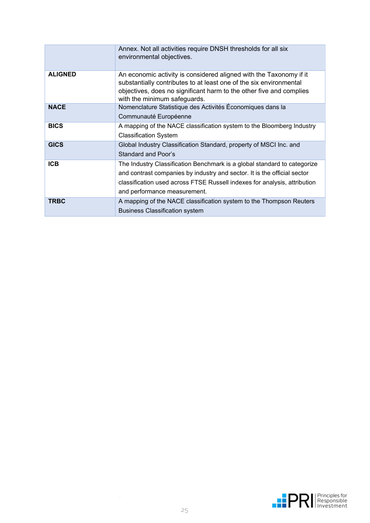|                | Annex. Not all activities require DNSH thresholds for all six<br>environmental objectives.                                                                                                                                                                        |
|----------------|-------------------------------------------------------------------------------------------------------------------------------------------------------------------------------------------------------------------------------------------------------------------|
| <b>ALIGNED</b> | An economic activity is considered aligned with the Taxonomy if it<br>substantially contributes to at least one of the six environmental<br>objectives, does no significant harm to the other five and complies<br>with the minimum safeguards.                   |
| <b>NACE</b>    | Nomenclature Statistique des Activités Économiques dans la<br>Communauté Européenne                                                                                                                                                                               |
| <b>BICS</b>    | A mapping of the NACE classification system to the Bloomberg Industry<br><b>Classification System</b>                                                                                                                                                             |
| <b>GICS</b>    | Global Industry Classification Standard, property of MSCI Inc. and<br><b>Standard and Poor's</b>                                                                                                                                                                  |
| <b>ICB</b>     | The Industry Classification Benchmark is a global standard to categorize<br>and contrast companies by industry and sector. It is the official sector<br>classification used across FTSE Russell indexes for analysis, attribution<br>and performance measurement. |
| <b>TRBC</b>    | A mapping of the NACE classification system to the Thompson Reuters<br><b>Business Classification system</b>                                                                                                                                                      |